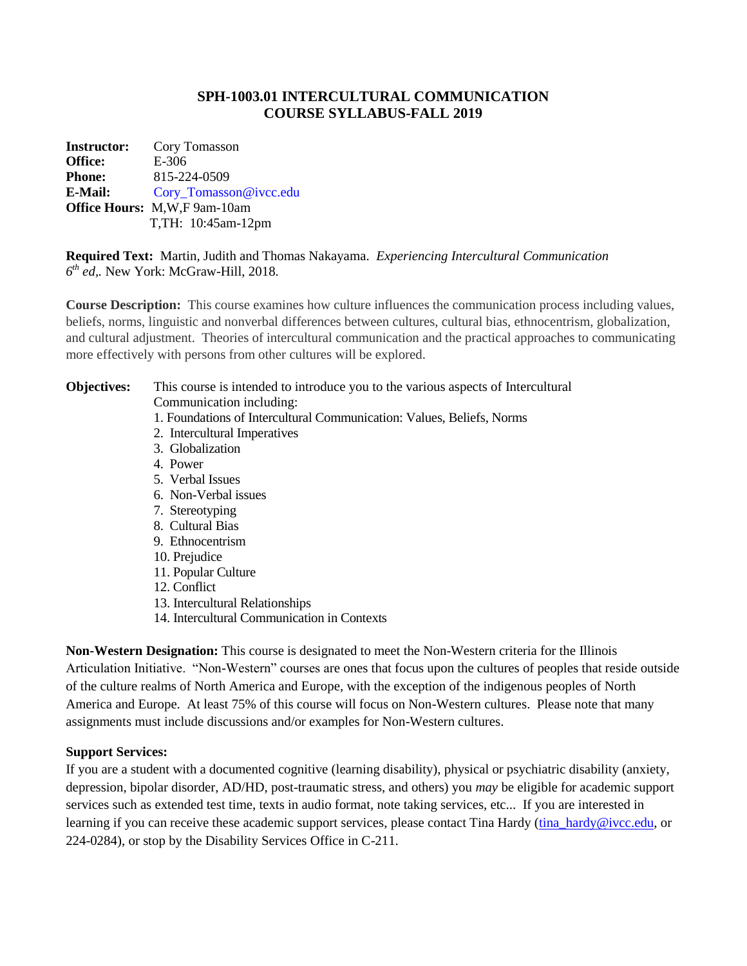## **SPH-1003.01 INTERCULTURAL COMMUNICATION COURSE SYLLABUS-FALL 2019**

**Instructor:** Cory Tomasson **Office:** E-306 **Phone:** 815-224-0509 **E-Mail:** [Cory\\_Tomasson@ivcc.edu](mailto:Cory_Tomasson@ivcc.edu) **Office Hours:** M,W,F 9am-10am T,TH: 10:45am-12pm

**Required Text:** Martin, Judith and Thomas Nakayama. *Experiencing Intercultural Communication 6 th ed,.* New York: McGraw-Hill, 2018.

**Course Description:** This course examines how culture influences the communication process including values, beliefs, norms, linguistic and nonverbal differences between cultures, cultural bias, ethnocentrism, globalization, and cultural adjustment. Theories of intercultural communication and the practical approaches to communicating more effectively with persons from other cultures will be explored.

**Objectives:** This course is intended to introduce you to the various aspects of Intercultural Communication including:

- 1. Foundations of Intercultural Communication: Values, Beliefs, Norms
- 2. Intercultural Imperatives
- 3. Globalization
- 4. Power
- 5. Verbal Issues
- 6. Non-Verbal issues
- 7. Stereotyping
- 8. Cultural Bias
- 9. Ethnocentrism
- 10. Prejudice
- 11. Popular Culture
- 12. Conflict
- 13. Intercultural Relationships
- 14. Intercultural Communication in Contexts

**Non-Western Designation:** This course is designated to meet the Non-Western criteria for the Illinois Articulation Initiative. "Non-Western" courses are ones that focus upon the cultures of peoples that reside outside of the culture realms of North America and Europe, with the exception of the indigenous peoples of North America and Europe. At least 75% of this course will focus on Non-Western cultures. Please note that many assignments must include discussions and/or examples for Non-Western cultures.

#### **Support Services:**

If you are a student with a documented cognitive (learning disability), physical or psychiatric disability (anxiety, depression, bipolar disorder, AD/HD, post-traumatic stress, and others) you *may* be eligible for academic support services such as extended test time, texts in audio format, note taking services, etc... If you are interested in learning if you can receive these academic support services, please contact Tina Hardy [\(tina\\_hardy@ivcc.edu,](mailto:tina_hardy@ivcc.edu) or 224-0284), or stop by the Disability Services Office in C-211.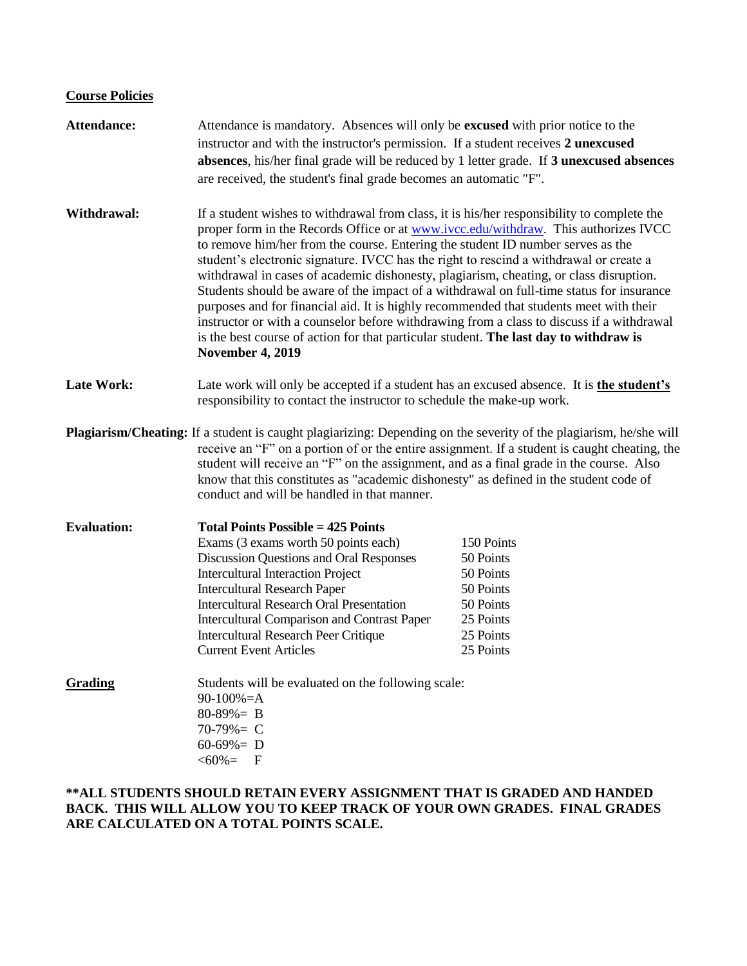## **Course Policies**

| Attendance:        | Attendance is mandatory. Absences will only be excused with prior notice to the<br>instructor and with the instructor's permission. If a student receives 2 unexcused<br>absences, his/her final grade will be reduced by 1 letter grade. If 3 unexcused absences<br>are received, the student's final grade becomes an automatic "F".                                                                                                                                                                                                                                                                                                                                                                                                                                                                                                                          |                                                                                                       |
|--------------------|-----------------------------------------------------------------------------------------------------------------------------------------------------------------------------------------------------------------------------------------------------------------------------------------------------------------------------------------------------------------------------------------------------------------------------------------------------------------------------------------------------------------------------------------------------------------------------------------------------------------------------------------------------------------------------------------------------------------------------------------------------------------------------------------------------------------------------------------------------------------|-------------------------------------------------------------------------------------------------------|
| Withdrawal:        | If a student wishes to withdrawal from class, it is his/her responsibility to complete the<br>proper form in the Records Office or at www.ivcc.edu/withdraw. This authorizes IVCC<br>to remove him/her from the course. Entering the student ID number serves as the<br>student's electronic signature. IVCC has the right to rescind a withdrawal or create a<br>withdrawal in cases of academic dishonesty, plagiarism, cheating, or class disruption.<br>Students should be aware of the impact of a withdrawal on full-time status for insurance<br>purposes and for financial aid. It is highly recommended that students meet with their<br>instructor or with a counselor before withdrawing from a class to discuss if a withdrawal<br>is the best course of action for that particular student. The last day to withdraw is<br><b>November 4, 2019</b> |                                                                                                       |
| <b>Late Work:</b>  | Late work will only be accepted if a student has an excused absence. It is the student's<br>responsibility to contact the instructor to schedule the make-up work.                                                                                                                                                                                                                                                                                                                                                                                                                                                                                                                                                                                                                                                                                              |                                                                                                       |
|                    | <b>Plagiarism/Cheating:</b> If a student is caught plagiarizing: Depending on the severity of the plagiarism, he/she will<br>receive an "F" on a portion of or the entire assignment. If a student is caught cheating, the<br>student will receive an "F" on the assignment, and as a final grade in the course. Also<br>know that this constitutes as "academic dishonesty" as defined in the student code of<br>conduct and will be handled in that manner.                                                                                                                                                                                                                                                                                                                                                                                                   |                                                                                                       |
| <b>Evaluation:</b> | <b>Total Points Possible = 425 Points</b><br>Exams (3 exams worth 50 points each)<br>Discussion Questions and Oral Responses<br><b>Intercultural Interaction Project</b><br><b>Intercultural Research Paper</b><br><b>Intercultural Research Oral Presentation</b><br><b>Intercultural Comparison and Contrast Paper</b><br><b>Intercultural Research Peer Critique</b><br><b>Current Event Articles</b>                                                                                                                                                                                                                                                                                                                                                                                                                                                        | 150 Points<br>50 Points<br>50 Points<br>50 Points<br>50 Points<br>25 Points<br>25 Points<br>25 Points |
| <b>Grading</b>     | Students will be evaluated on the following scale:<br>$90-100% = A$<br>$80-89\% = B$<br>$70-79\% = C$<br>$60-69\% = D$<br>$<60\%=$<br>$\mathbf{F}$                                                                                                                                                                                                                                                                                                                                                                                                                                                                                                                                                                                                                                                                                                              |                                                                                                       |

### **\*\*ALL STUDENTS SHOULD RETAIN EVERY ASSIGNMENT THAT IS GRADED AND HANDED BACK. THIS WILL ALLOW YOU TO KEEP TRACK OF YOUR OWN GRADES. FINAL GRADES ARE CALCULATED ON A TOTAL POINTS SCALE.**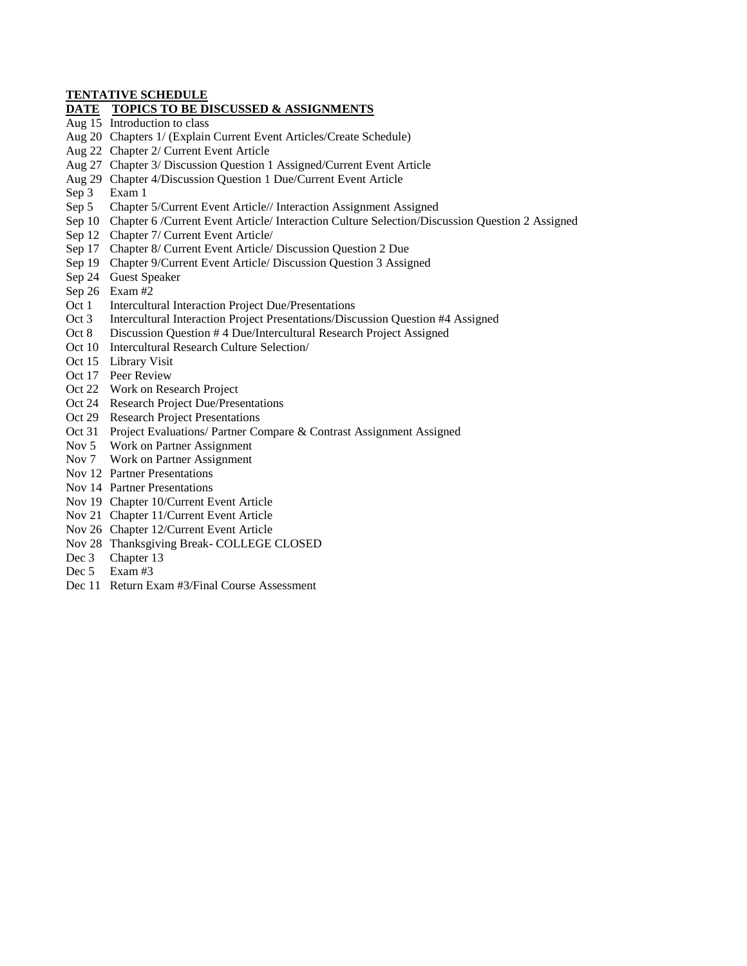#### **TENTATIVE SCHEDULE**

#### **DATE TOPICS TO BE DISCUSSED & ASSIGNMENTS**

- Aug 15 Introduction to class
- Aug 20 Chapters 1/ (Explain Current Event Articles/Create Schedule)
- Aug 22 Chapter 2/ Current Event Article
- Aug 27 Chapter 3/ Discussion Question 1 Assigned/Current Event Article
- Aug 29 Chapter 4/Discussion Question 1 Due/Current Event Article
- Sep 3 Exam 1
- Sep 5 Chapter 5/Current Event Article// Interaction Assignment Assigned
- Sep 10 Chapter 6 /Current Event Article/ Interaction Culture Selection/Discussion Question 2 Assigned
- Sep 12 Chapter 7/ Current Event Article/
- Sep 17 Chapter 8/ Current Event Article/ Discussion Question 2 Due
- Sep 19 Chapter 9/Current Event Article/ Discussion Question 3 Assigned
- Sep 24 Guest Speaker
- Sep 26 Exam #2
- Oct 1 Intercultural Interaction Project Due/Presentations
- Oct 3 Intercultural Interaction Project Presentations/Discussion Question #4 Assigned
- Oct 8 Discussion Question # 4 Due/Intercultural Research Project Assigned
- Oct 10 Intercultural Research Culture Selection/
- Oct 15 Library Visit
- Oct 17 Peer Review
- Oct 22 Work on Research Project
- Oct 24 Research Project Due/Presentations
- Oct 29 Research Project Presentations
- Oct 31 Project Evaluations/ Partner Compare & Contrast Assignment Assigned
- Nov 5 Work on Partner Assignment
- Nov 7 Work on Partner Assignment
- Nov 12 Partner Presentations
- Nov 14 Partner Presentations
- Nov 19 Chapter 10/Current Event Article
- Nov 21 Chapter 11/Current Event Article
- Nov 26 Chapter 12/Current Event Article
- Nov 28 Thanksgiving Break- COLLEGE CLOSED
- Dec 3 Chapter 13
- Dec 5 Exam #3
- Dec 11 Return Exam #3/Final Course Assessment